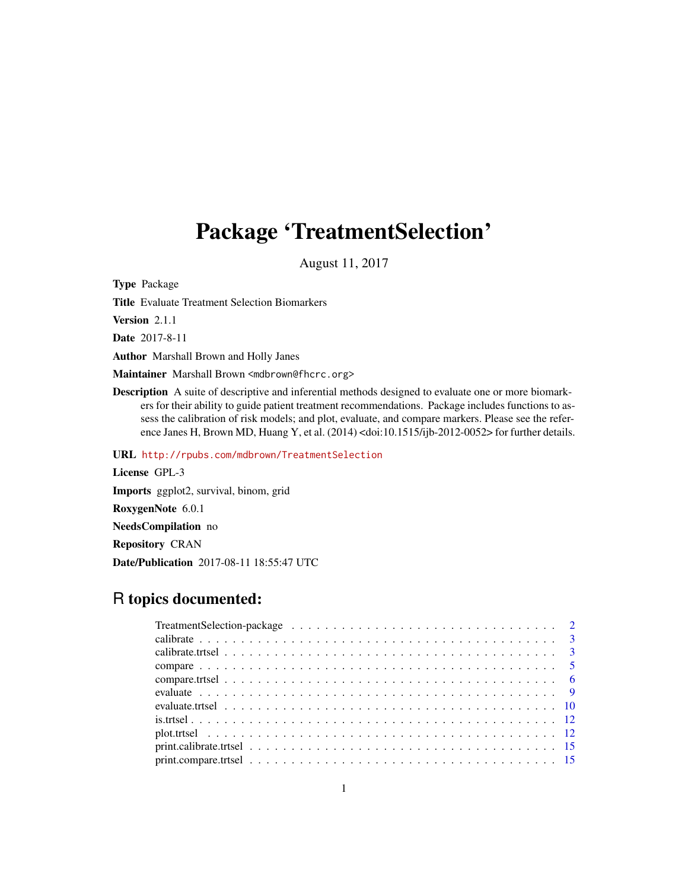# Package 'TreatmentSelection'

August 11, 2017

Type Package

Title Evaluate Treatment Selection Biomarkers

Version 2.1.1

Date 2017-8-11

Author Marshall Brown and Holly Janes

Maintainer Marshall Brown <mdbrown@fhcrc.org>

Description A suite of descriptive and inferential methods designed to evaluate one or more biomarkers for their ability to guide patient treatment recommendations. Package includes functions to assess the calibration of risk models; and plot, evaluate, and compare markers. Please see the reference Janes H, Brown MD, Huang Y, et al. (2014) <doi:10.1515/ijb-2012-0052> for further details.

URL <http://rpubs.com/mdbrown/TreatmentSelection>

License GPL-3 Imports ggplot2, survival, binom, grid RoxygenNote 6.0.1 NeedsCompilation no Repository CRAN Date/Publication 2017-08-11 18:55:47 UTC

# R topics documented: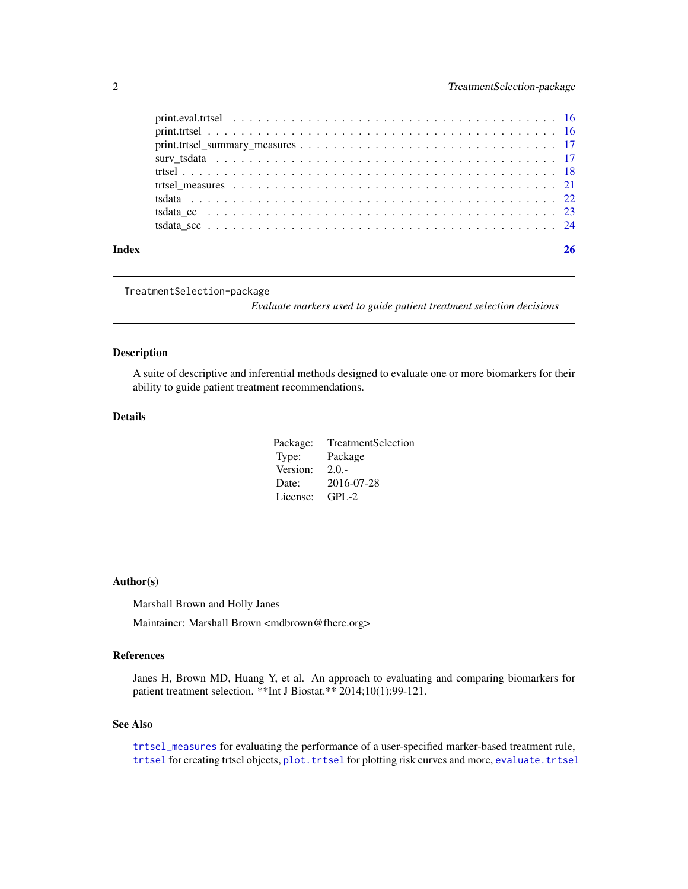<span id="page-1-0"></span>

| Index |  |
|-------|--|

TreatmentSelection-package

*Evaluate markers used to guide patient treatment selection decisions*

# Description

A suite of descriptive and inferential methods designed to evaluate one or more biomarkers for their ability to guide patient treatment recommendations.

# Details

| TreatmentSelection<br>Package: |  |
|--------------------------------|--|
| Package<br>Type:               |  |
| Version:<br>$2.0 -$            |  |
| 2016-07-28<br>Date:            |  |
| License:<br>$GPL-2$            |  |

# Author(s)

Marshall Brown and Holly Janes

Maintainer: Marshall Brown <mdbrown@fhcrc.org>

# References

Janes H, Brown MD, Huang Y, et al. An approach to evaluating and comparing biomarkers for patient treatment selection. \*\*Int J Biostat.\*\* 2014;10(1):99-121.

# See Also

[trtsel\\_measures](#page-20-1) for evaluating the performance of a user-specified marker-based treatment rule, [trtsel](#page-17-1) for creating trtsel objects, plot. trtsel for plotting risk curves and more, evaluate. trtsel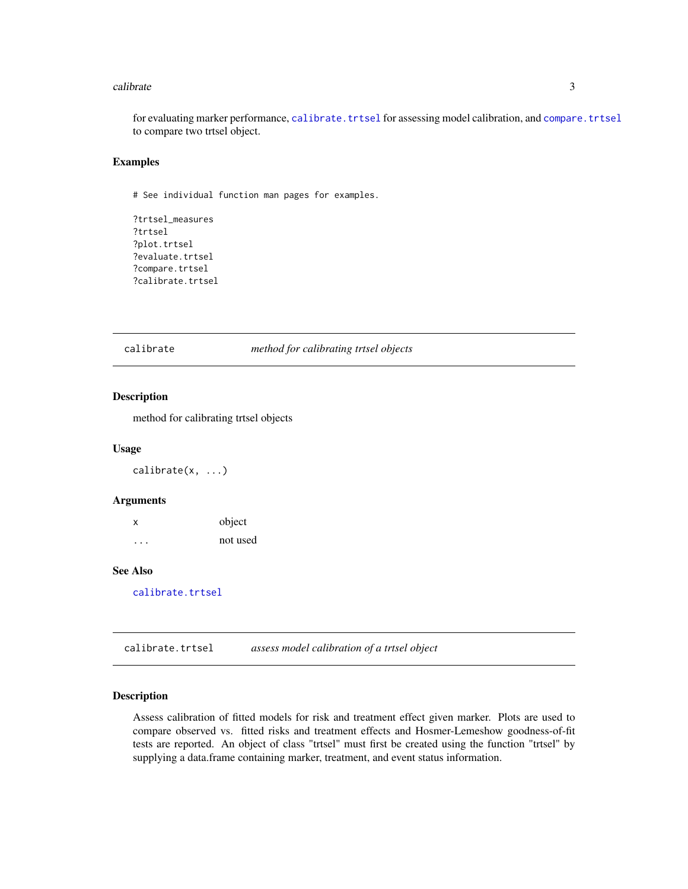#### <span id="page-2-0"></span>calibrate 3 and 3 and 3 and 3 and 3 and 3 and 3 and 3 and 3 and 3 and 3 and 3 and 3 and 3 and 3 and 3 and 3 and 3 and 3 and 3 and 3 and 3 and 3 and 3 and 3 and 3 and 3 and 3 and 3 and 3 and 3 and 3 and 3 and 3 and 3 and 3

for evaluating marker performance, [calibrate.trtsel](#page-2-1) for assessing model calibration, and [compare.trtsel](#page-5-1) to compare two trtsel object.

#### Examples

# See individual function man pages for examples.

```
?trtsel_measures
?trtsel
?plot.trtsel
?evaluate.trtsel
?compare.trtsel
?calibrate.trtsel
```
#### calibrate *method for calibrating trtsel objects*

# Description

method for calibrating trtsel objects

#### Usage

calibrate(x, ...)

# Arguments

x object ... not used

# See Also

[calibrate.trtsel](#page-2-1)

<span id="page-2-1"></span>calibrate.trtsel *assess model calibration of a trtsel object*

# Description

Assess calibration of fitted models for risk and treatment effect given marker. Plots are used to compare observed vs. fitted risks and treatment effects and Hosmer-Lemeshow goodness-of-fit tests are reported. An object of class "trtsel" must first be created using the function "trtsel" by supplying a data.frame containing marker, treatment, and event status information.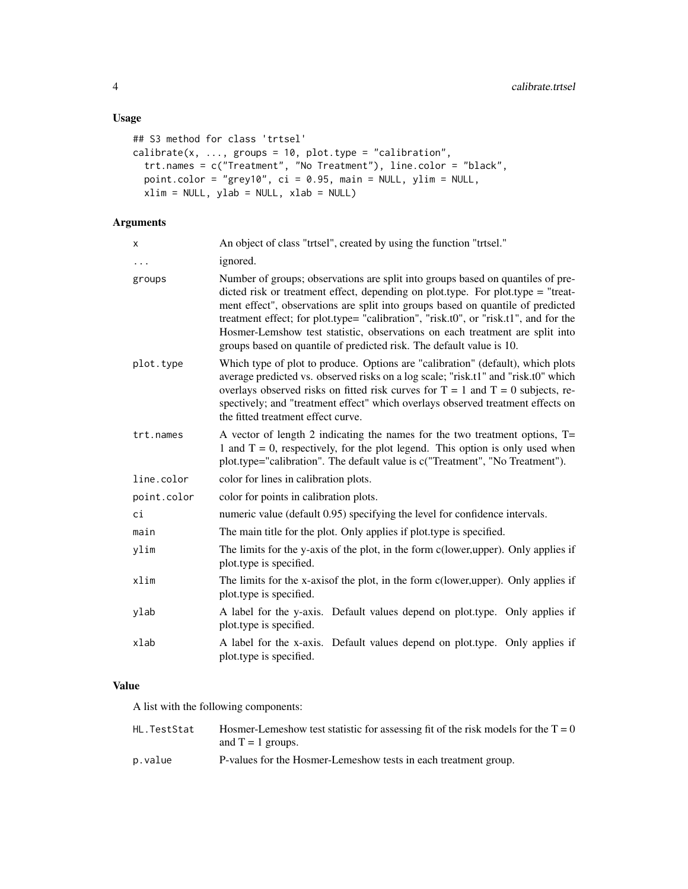# Usage

```
## S3 method for class 'trtsel'
calibrate(x, ..., groups = 10, plot.type = "calibration",
  trt.names = c("Treatment", "No Treatment"), line.color = "black",
 point.color = "grey10", ci = 0.95, main = NULL, ylim = NULL,
 xlim = NULL, ylab = NULL, xlab = NULL)
```
# Arguments

| X           | An object of class "trtsel", created by using the function "trtsel."                                                                                                                                                                                                                                                                                                                                                                                                                                   |  |
|-------------|--------------------------------------------------------------------------------------------------------------------------------------------------------------------------------------------------------------------------------------------------------------------------------------------------------------------------------------------------------------------------------------------------------------------------------------------------------------------------------------------------------|--|
| $\ddots$    | ignored.                                                                                                                                                                                                                                                                                                                                                                                                                                                                                               |  |
| groups      | Number of groups; observations are split into groups based on quantiles of pre-<br>dicted risk or treatment effect, depending on plot.type. For plot.type = "treat-<br>ment effect", observations are split into groups based on quantile of predicted<br>treatment effect; for plot.type= "calibration", "risk.t0", or "risk.t1", and for the<br>Hosmer-Lemshow test statistic, observations on each treatment are split into<br>groups based on quantile of predicted risk. The default value is 10. |  |
| plot.type   | Which type of plot to produce. Options are "calibration" (default), which plots<br>average predicted vs. observed risks on a log scale; "risk.t1" and "risk.t0" which<br>overlays observed risks on fitted risk curves for $T = 1$ and $T = 0$ subjects, re-<br>spectively; and "treatment effect" which overlays observed treatment effects on<br>the fitted treatment effect curve.                                                                                                                  |  |
| trt.names   | A vector of length 2 indicating the names for the two treatment options, $T =$<br>1 and $T = 0$ , respectively, for the plot legend. This option is only used when<br>plot.type="calibration". The default value is c("Treatment", "No Treatment").                                                                                                                                                                                                                                                    |  |
| line.color  | color for lines in calibration plots.                                                                                                                                                                                                                                                                                                                                                                                                                                                                  |  |
| point.color | color for points in calibration plots.                                                                                                                                                                                                                                                                                                                                                                                                                                                                 |  |
| сi          | numeric value (default 0.95) specifying the level for confidence intervals.                                                                                                                                                                                                                                                                                                                                                                                                                            |  |
| main        | The main title for the plot. Only applies if plot type is specified.                                                                                                                                                                                                                                                                                                                                                                                                                                   |  |
| ylim        | The limits for the y-axis of the plot, in the form c(lower, upper). Only applies if<br>plot.type is specified.                                                                                                                                                                                                                                                                                                                                                                                         |  |
| xlim        | The limits for the x-axisof the plot, in the form c(lower, upper). Only applies if<br>plot.type is specified.                                                                                                                                                                                                                                                                                                                                                                                          |  |
| ylab        | A label for the y-axis. Default values depend on plot type. Only applies if<br>plot.type is specified.                                                                                                                                                                                                                                                                                                                                                                                                 |  |
| xlab        | A label for the x-axis. Default values depend on plot type. Only applies if<br>plot type is specified.                                                                                                                                                                                                                                                                                                                                                                                                 |  |

# Value

A list with the following components:

| HL.TestStat | Hosmer-Lemeshow test statistic for assessing fit of the risk models for the $T = 0$ |
|-------------|-------------------------------------------------------------------------------------|
|             | and $T = 1$ groups.                                                                 |
| p.value     | P-values for the Hosmer-Lemeshow tests in each treatment group.                     |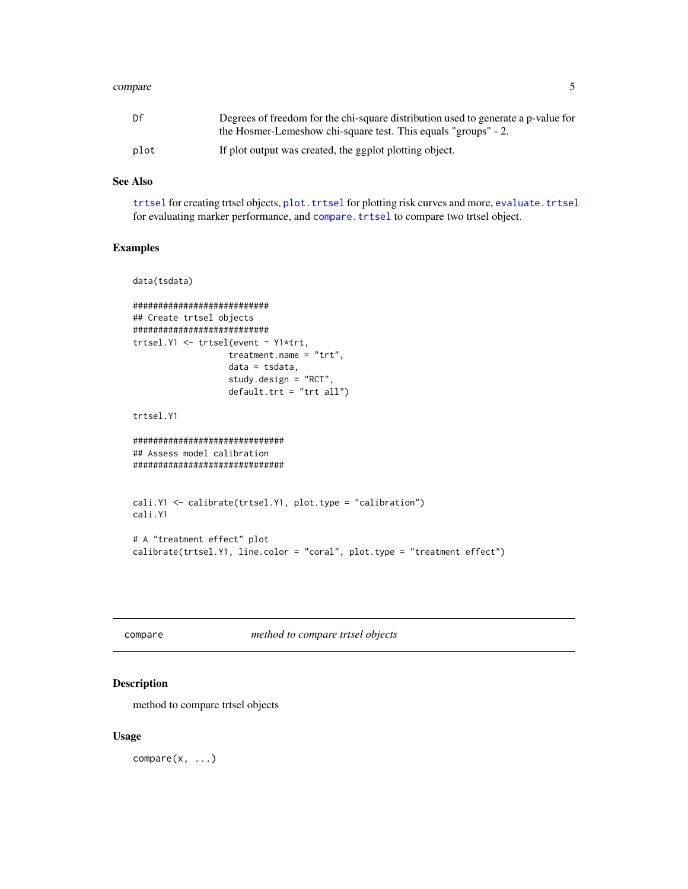#### <span id="page-4-0"></span>compare 5

| Df   | Degrees of freedom for the chi-square distribution used to generate a p-value for |  |
|------|-----------------------------------------------------------------------------------|--|
|      | the Hosmer-Lemeshow chi-square test. This equals "groups" - 2.                    |  |
| plot | If plot output was created, the ggplot plotting object.                           |  |

# See Also

[trtsel](#page-17-1) for creating trtsel objects, plot. trtsel for plotting risk curves and more, evaluate. trtsel for evaluating marker performance, and [compare.trtsel](#page-5-1) to compare two trtsel object.

# Examples

```
data(tsdata)
###########################
## Create trtsel objects
###########################
trtsel.Y1 <- trtsel(event ~ Y1*trt,
                   treatment.name = "trt",
                   data = tsdata,
                   study.design = "RCT",
                   default.trt = "trt all")
trtsel.Y1
##############################
## Assess model calibration
##############################
cali.Y1 <- calibrate(trtsel.Y1, plot.type = "calibration")
cali.Y1
# A "treatment effect" plot
calibrate(trtsel.Y1, line.color = "coral", plot.type = "treatment effect")
```
# compare *method to compare trtsel objects*

# Description

method to compare trtsel objects

# Usage

 $compare(x, \ldots)$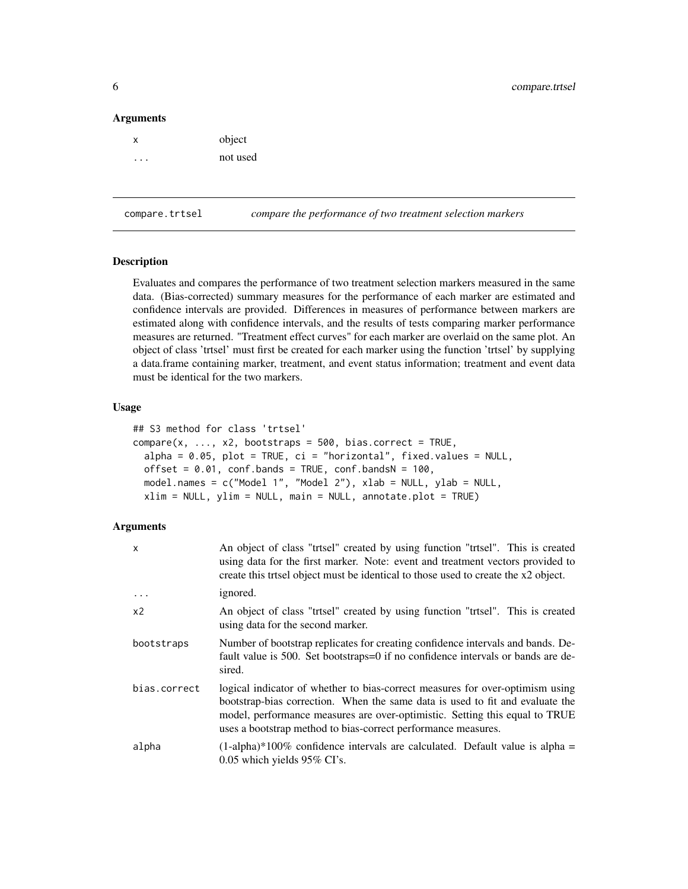#### <span id="page-5-0"></span>**Arguments**

| X | object   |
|---|----------|
|   | not used |

<span id="page-5-1"></span>compare.trtsel *compare the performance of two treatment selection markers*

# Description

Evaluates and compares the performance of two treatment selection markers measured in the same data. (Bias-corrected) summary measures for the performance of each marker are estimated and confidence intervals are provided. Differences in measures of performance between markers are estimated along with confidence intervals, and the results of tests comparing marker performance measures are returned. "Treatment effect curves" for each marker are overlaid on the same plot. An object of class 'trtsel' must first be created for each marker using the function 'trtsel' by supplying a data.frame containing marker, treatment, and event status information; treatment and event data must be identical for the two markers.

# Usage

```
## S3 method for class 'trtsel'
compare(x, ..., x2, bootstraps = 500, bias.correct = TRUE,alpha = 0.05, plot = TRUE, ci = "horizontal", fixed.values = NULL,
 offset = 0.01, conf.bands = TRUE, conf.bandsN = 100,
 model.names = c("Model 1", "Model 2"), xlab = NULL, ylab = NULL,xlim = NULL, ylim = NULL, main = NULL, annotate.plot = TRUE)
```
# Arguments

| $\mathsf{x}$   | An object of class "trtsel" created by using function "trtsel". This is created<br>using data for the first marker. Note: event and treatment vectors provided to<br>create this trisel object must be identical to those used to create the x2 object.                                                        |
|----------------|----------------------------------------------------------------------------------------------------------------------------------------------------------------------------------------------------------------------------------------------------------------------------------------------------------------|
|                | <i>ignored.</i>                                                                                                                                                                                                                                                                                                |
| x <sub>2</sub> | An object of class "trisel" created by using function "trisel". This is created<br>using data for the second marker.                                                                                                                                                                                           |
| bootstraps     | Number of bootstrap replicates for creating confidence intervals and bands. De-<br>fault value is 500. Set bootstraps=0 if no confidence intervals or bands are de-<br>sired.                                                                                                                                  |
| bias.correct   | logical indicator of whether to bias-correct measures for over-optimism using<br>bootstrap-bias correction. When the same data is used to fit and evaluate the<br>model, performance measures are over-optimistic. Setting this equal to TRUE<br>uses a bootstrap method to bias-correct performance measures. |
| alpha          | $(1-\alpha)$ -alpha)*100% confidence intervals are calculated. Default value is alpha =<br>0.05 which yields 95% CI's.                                                                                                                                                                                         |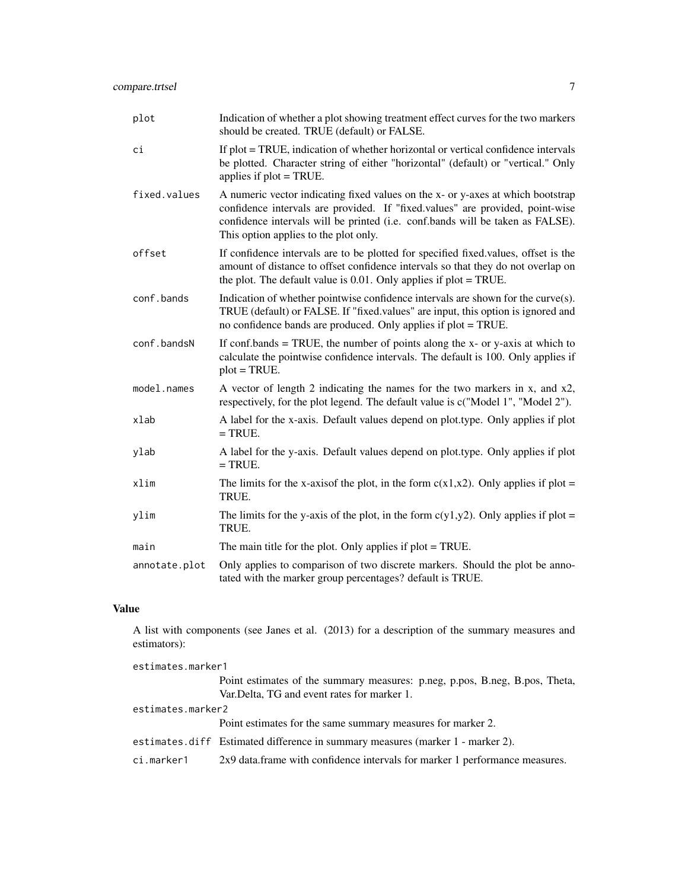| plot          | Indication of whether a plot showing treatment effect curves for the two markers<br>should be created. TRUE (default) or FALSE.                                                                                                                                                             |
|---------------|---------------------------------------------------------------------------------------------------------------------------------------------------------------------------------------------------------------------------------------------------------------------------------------------|
| ci            | If plot = TRUE, indication of whether horizontal or vertical confidence intervals<br>be plotted. Character string of either "horizontal" (default) or "vertical." Only<br>applies if $plot = TRUE$ .                                                                                        |
| fixed.values  | A numeric vector indicating fixed values on the x- or y-axes at which bootstrap<br>confidence intervals are provided. If "fixed.values" are provided, point-wise<br>confidence intervals will be printed (i.e. conf.bands will be taken as FALSE).<br>This option applies to the plot only. |
| offset        | If confidence intervals are to be plotted for specified fixed values, offset is the<br>amount of distance to offset confidence intervals so that they do not overlap on<br>the plot. The default value is $0.01$ . Only applies if plot = TRUE.                                             |
| conf.bands    | Indication of whether pointwise confidence intervals are shown for the curve(s).<br>TRUE (default) or FALSE. If "fixed.values" are input, this option is ignored and<br>no confidence bands are produced. Only applies if plot = TRUE.                                                      |
| conf.bandsN   | If conf.bands = TRUE, the number of points along the $x$ - or $y$ -axis at which to<br>calculate the pointwise confidence intervals. The default is 100. Only applies if<br>$plot = TRUE.$                                                                                                  |
| model.names   | A vector of length 2 indicating the names for the two markers in x, and x2,<br>respectively, for the plot legend. The default value is $c("Model 1", "Model 2").$                                                                                                                           |
| xlab          | A label for the x-axis. Default values depend on plot.type. Only applies if plot<br>$=$ TRUE.                                                                                                                                                                                               |
| ylab          | A label for the y-axis. Default values depend on plot.type. Only applies if plot<br>$=$ TRUE.                                                                                                                                                                                               |
| xlim          | The limits for the x-axisof the plot, in the form $c(x1,x2)$ . Only applies if plot =<br>TRUE.                                                                                                                                                                                              |
| ylim          | The limits for the y-axis of the plot, in the form $c(y1,y2)$ . Only applies if plot =<br>TRUE.                                                                                                                                                                                             |
| main          | The main title for the plot. Only applies if $plot = TRUE$ .                                                                                                                                                                                                                                |
| annotate.plot | Only applies to comparison of two discrete markers. Should the plot be anno-<br>tated with the marker group percentages? default is TRUE.                                                                                                                                                   |

# Value

A list with components (see Janes et al. (2013) for a description of the summary measures and estimators):

| estimates.marker1 |                                                                                |  |
|-------------------|--------------------------------------------------------------------------------|--|
|                   | Point estimates of the summary measures: p.neg, p.pos, B.neg, B.pos, Theta,    |  |
|                   | Var. Delta, TG and event rates for marker 1.                                   |  |
| estimates.marker2 |                                                                                |  |
|                   | Point estimates for the same summary measures for marker 2.                    |  |
|                   | estimates.diff Estimated difference in summary measures (marker 1 - marker 2). |  |
| ci.marker1        | 2x9 data.frame with confidence intervals for marker 1 performance measures.    |  |
|                   |                                                                                |  |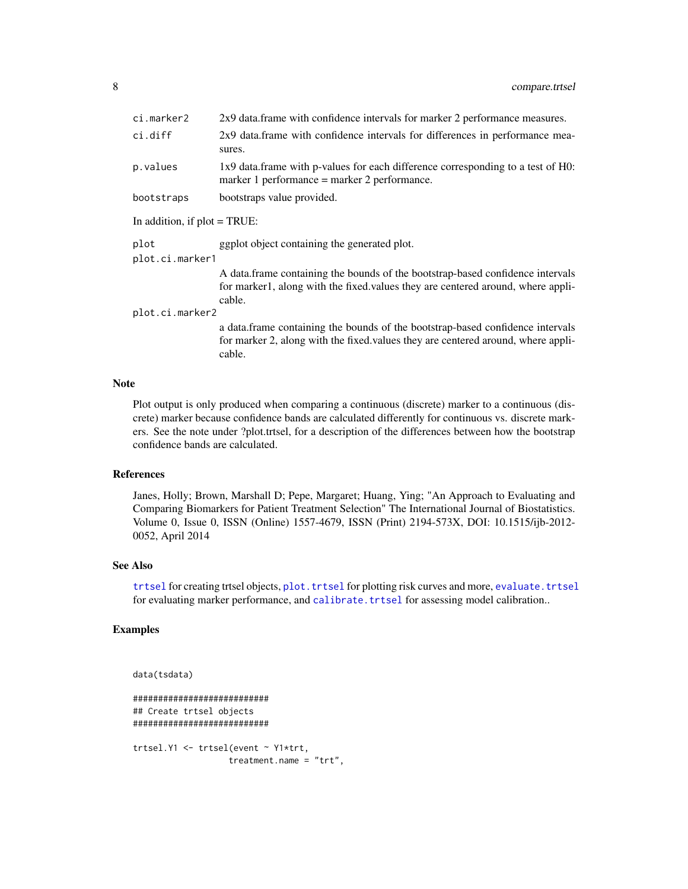<span id="page-7-0"></span>

| ci.marker2                      | 2x9 data.frame with confidence intervals for marker 2 performance measures.                                                                                                   |  |
|---------------------------------|-------------------------------------------------------------------------------------------------------------------------------------------------------------------------------|--|
| ci.diff                         | 2x9 data.frame with confidence intervals for differences in performance mea-<br>sures.                                                                                        |  |
| p.values                        | 1x9 data.frame with p-values for each difference corresponding to a test of H0:<br>marker 1 performance $=$ marker 2 performance.                                             |  |
| bootstraps                      | bootstraps value provided.                                                                                                                                                    |  |
| In addition, if $plot = TRUE$ : |                                                                                                                                                                               |  |
| plot<br>plot.ci.marker1         | ggplot object containing the generated plot.                                                                                                                                  |  |
|                                 | A data. frame containing the bounds of the bootstrap-based confidence intervals<br>for marker1, along with the fixed values they are centered around, where appli-<br>cable.  |  |
| plot.ci.marker2                 |                                                                                                                                                                               |  |
|                                 | a data. frame containing the bounds of the bootstrap-based confidence intervals<br>for marker 2, along with the fixed values they are centered around, where appli-<br>cable. |  |

# Note

Plot output is only produced when comparing a continuous (discrete) marker to a continuous (discrete) marker because confidence bands are calculated differently for continuous vs. discrete markers. See the note under ?plot.trtsel, for a description of the differences between how the bootstrap confidence bands are calculated.

# References

Janes, Holly; Brown, Marshall D; Pepe, Margaret; Huang, Ying; "An Approach to Evaluating and Comparing Biomarkers for Patient Treatment Selection" The International Journal of Biostatistics. Volume 0, Issue 0, ISSN (Online) 1557-4679, ISSN (Print) 2194-573X, DOI: 10.1515/ijb-2012- 0052, April 2014

### See Also

[trtsel](#page-17-1) for creating trtsel objects, plot. trtsel for plotting risk curves and more, evaluate. trtsel for evaluating marker performance, and [calibrate.trtsel](#page-2-1) for assessing model calibration..

# Examples

```
data(tsdata)
```

```
###########################
## Create trtsel objects
###########################
trtsel.Y1 <- trtsel(event ~ Y1*trt,
                  treatment.name = "trt",
```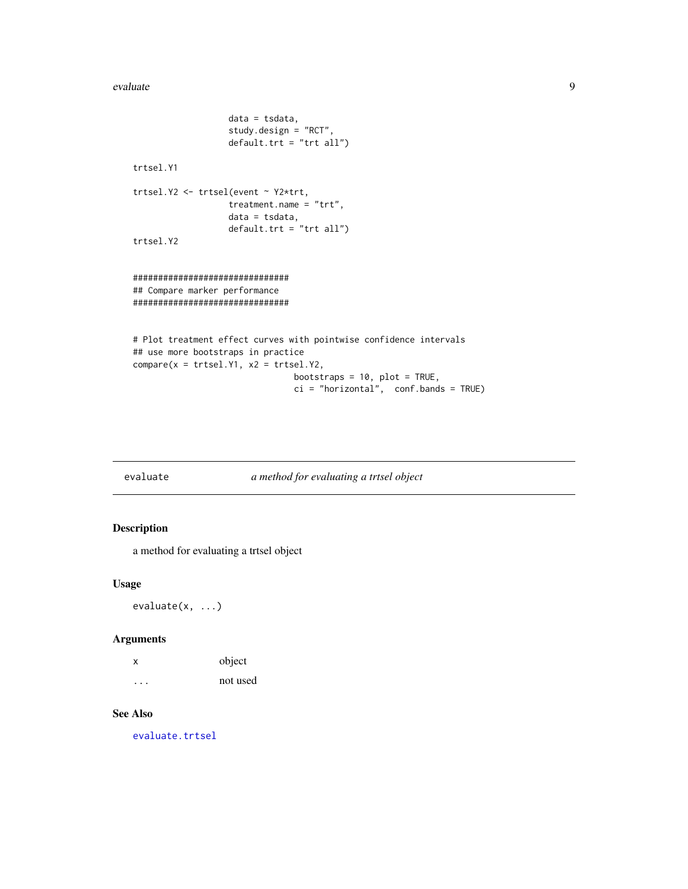#### <span id="page-8-0"></span>evaluate 9

```
data = tsdata,
                   study.design = "RCT",
                   default.trt = "trt all")
trtsel.Y1
trtsel.Y2 <- trtsel(event ~ Y2*trt,
                   treatment.name = "trt",
                   data = tsdata,
                   default.trt = "trt all")
trtsel.Y2
###############################
## Compare marker performance
###############################
# Plot treatment effect curves with pointwise confidence intervals
## use more bootstraps in practice
compare(x = trtsel.Y1, x2 = trtsel.Y2,bootstraps = 10, plot = TRUE,
```

```
ci = "horizontal", conf.bands = TRUE)
```
evaluate *a method for evaluating a trtsel object*

# Description

a method for evaluating a trtsel object

# Usage

evaluate(x, ...)

# Arguments

| х | object   |
|---|----------|
| . | not used |

# See Also

[evaluate.trtsel](#page-9-1)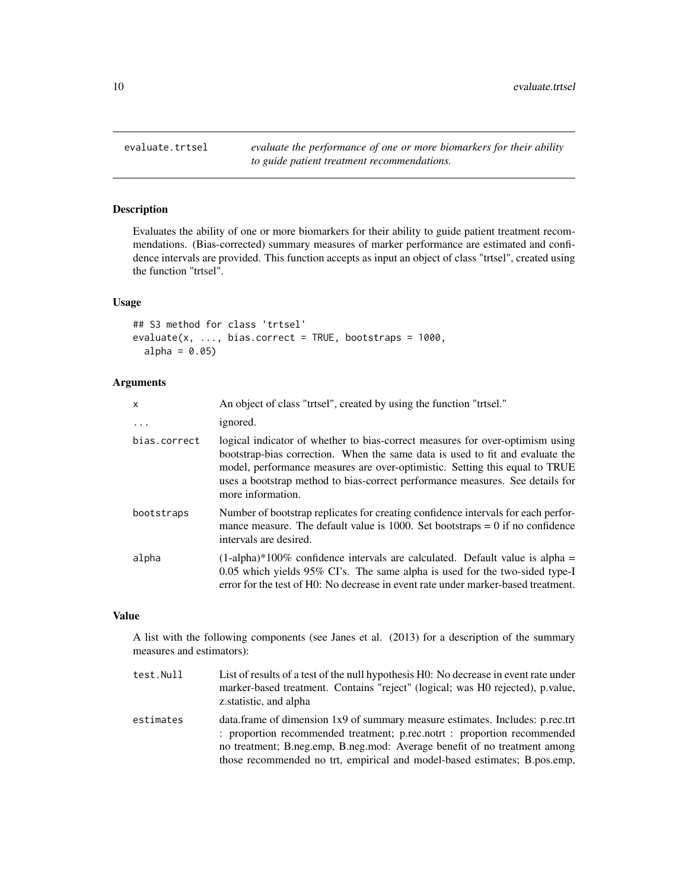<span id="page-9-1"></span><span id="page-9-0"></span>evaluate.trtsel *evaluate the performance of one or more biomarkers for their ability to guide patient treatment recommendations.*

# **Description**

Evaluates the ability of one or more biomarkers for their ability to guide patient treatment recommendations. (Bias-corrected) summary measures of marker performance are estimated and confidence intervals are provided. This function accepts as input an object of class "trtsel", created using the function "trtsel".

# Usage

```
## S3 method for class 'trtsel'
evaluate(x, ..., bias.correct = TRUE, bootstraps = 1000,alpha = 0.05)
```
# Arguments

| X            | An object of class "trtsel", created by using the function "trtsel."                                                                                                                                                                                                                                                                                |
|--------------|-----------------------------------------------------------------------------------------------------------------------------------------------------------------------------------------------------------------------------------------------------------------------------------------------------------------------------------------------------|
| $\ddots$     | ignored.                                                                                                                                                                                                                                                                                                                                            |
| bias.correct | logical indicator of whether to bias-correct measures for over-optimism using<br>bootstrap-bias correction. When the same data is used to fit and evaluate the<br>model, performance measures are over-optimistic. Setting this equal to TRUE<br>uses a bootstrap method to bias-correct performance measures. See details for<br>more information. |
| bootstraps   | Number of bootstrap replicates for creating confidence intervals for each perfor-<br>mance measure. The default value is 1000. Set bootstraps $= 0$ if no confidence<br>intervals are desired.                                                                                                                                                      |
| alpha        | $(1-\alpha)$ -alpha)*100% confidence intervals are calculated. Default value is alpha<br>0.05 which yields 95% CI's. The same alpha is used for the two-sided type-I<br>error for the test of H0: No decrease in event rate under marker-based treatment.                                                                                           |

#### Value

A list with the following components (see Janes et al. (2013) for a description of the summary measures and estimators):

- test.Null List of results of a test of the null hypothesis H0: No decrease in event rate under marker-based treatment. Contains "reject" (logical; was H0 rejected), p.value, z.statistic, and alpha estimates data.frame of dimension 1x9 of summary measure estimates. Includes: p.rec.trt : proportion recommended treatment; p.rec.notrt : proportion recommended
	- no treatment; B.neg.emp, B.neg.mod: Average benefit of no treatment among those recommended no trt, empirical and model-based estimates; B.pos.emp,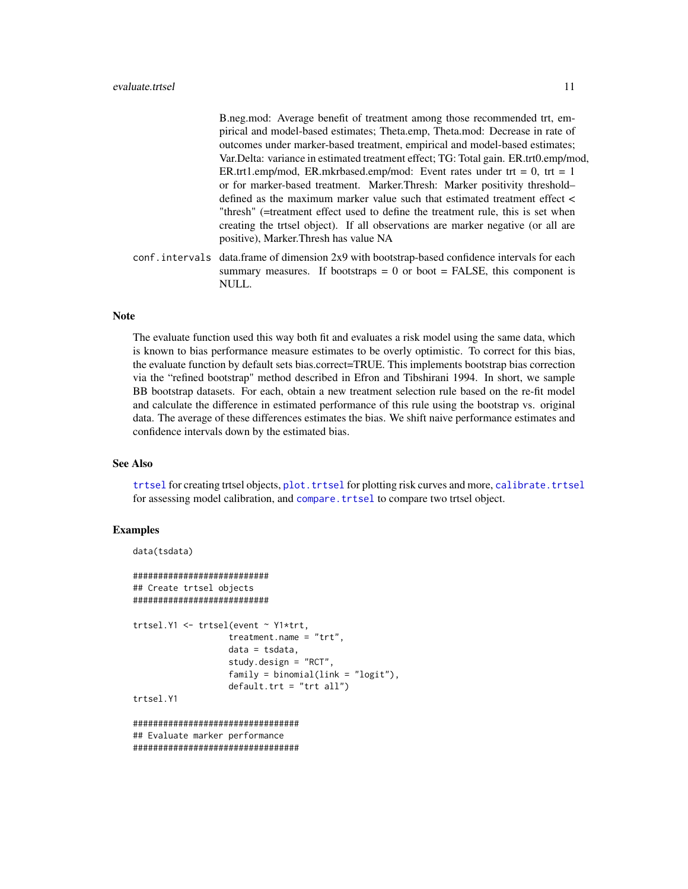<span id="page-10-0"></span>B.neg.mod: Average benefit of treatment among those recommended trt, empirical and model-based estimates; Theta.emp, Theta.mod: Decrease in rate of outcomes under marker-based treatment, empirical and model-based estimates; Var.Delta: variance in estimated treatment effect; TG: Total gain. ER.trt0.emp/mod, ER.trt1.emp/mod, ER.mkrbased.emp/mod: Event rates under trt = 0, trt = 1 or for marker-based treatment. Marker.Thresh: Marker positivity threshold– defined as the maximum marker value such that estimated treatment effect < "thresh" (=treatment effect used to define the treatment rule, this is set when creating the trtsel object). If all observations are marker negative (or all are positive), Marker.Thresh has value NA

conf.intervals data.frame of dimension 2x9 with bootstrap-based confidence intervals for each summary measures. If bootstraps  $= 0$  or boot  $=$  FALSE, this component is NULL.

# Note

The evaluate function used this way both fit and evaluates a risk model using the same data, which is known to bias performance measure estimates to be overly optimistic. To correct for this bias, the evaluate function by default sets bias.correct=TRUE. This implements bootstrap bias correction via the "refined bootstrap" method described in Efron and Tibshirani 1994. In short, we sample BB bootstrap datasets. For each, obtain a new treatment selection rule based on the re-fit model and calculate the difference in estimated performance of this rule using the bootstrap vs. original data. The average of these differences estimates the bias. We shift naive performance estimates and confidence intervals down by the estimated bias.

#### See Also

[trtsel](#page-17-1) for creating trtsel objects, plot. trtsel for plotting risk curves and more, calibrate. trtsel for assessing model calibration, and [compare.trtsel](#page-5-1) to compare two trtsel object.

# Examples

```
data(tsdata)
```

```
###########################
## Create trtsel objects
###########################
trtsel.Y1 <- trtsel(event ~ Y1*trt,
                   treatment.name = "trt",
                   data = tsdata,
                   study.design = "RCT",
                   family = binomial(link = "logit"),
                   default.trt = "trt all")
trtsel.Y1
```

```
#################################
## Evaluate marker performance
#################################
```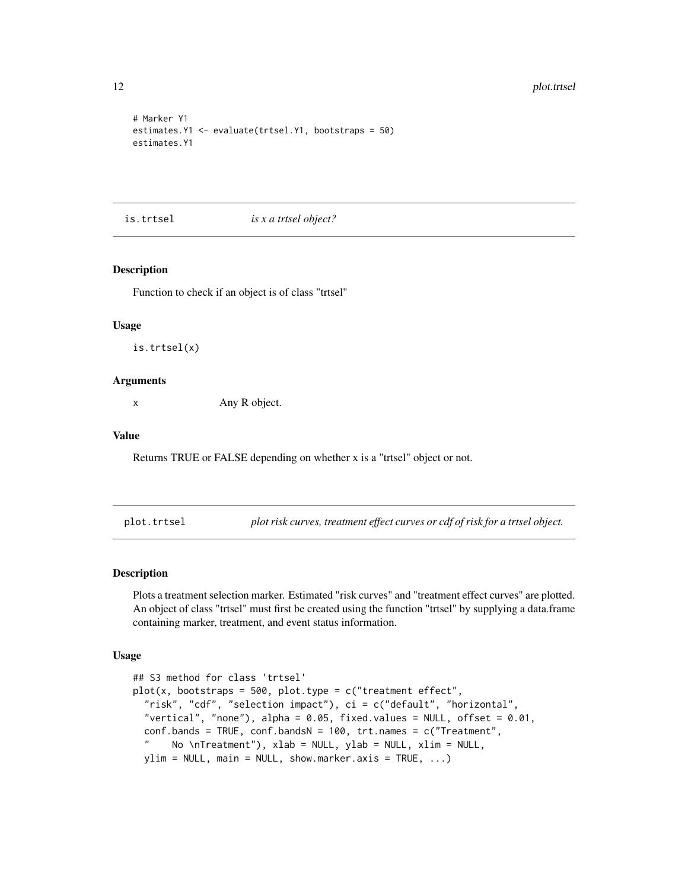```
# Marker Y1
estimates.Y1 <- evaluate(trtsel.Y1, bootstraps = 50)
estimates.Y1
```
#### is.trtsel *is x a trtsel object?*

# Description

Function to check if an object is of class "trtsel"

#### Usage

is.trtsel(x)

# **Arguments**

x Any R object.

# Value

Returns TRUE or FALSE depending on whether x is a "trtsel" object or not.

<span id="page-11-1"></span>plot.trtsel *plot risk curves, treatment effect curves or cdf of risk for a trtsel object.*

# Description

Plots a treatment selection marker. Estimated "risk curves" and "treatment effect curves" are plotted. An object of class "trtsel" must first be created using the function "trtsel" by supplying a data.frame containing marker, treatment, and event status information.

#### Usage

```
## S3 method for class 'trtsel'
plot(x, bootstraps = 500, plot-type = c("treatment effect","risk", "cdf", "selection impact"), ci = c("default", "horizontal",
  "vertical", "none"), alpha = 0.05, fixed.values = NULL, offset = 0.01,
 conf.bands = TRUE, conf.bandsN = 100, trt.names = c("Treatment",
  " No \nTreatment"), xlab = NULL, ylab = NULL, xlim = NULL,
 ylim = NULL, main = NULL, show.maxis = TRUE, ...)
```
<span id="page-11-0"></span>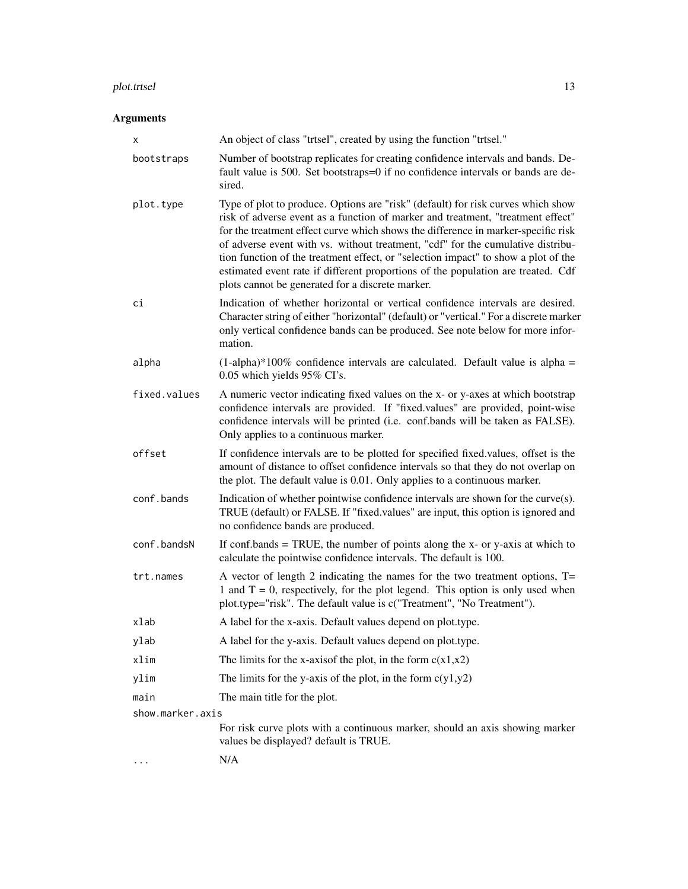#### plot.trtsel 13

# Arguments

| х                | An object of class "trtsel", created by using the function "trtsel."                                                                                                                                                                                                                                                                                                                                                                                                                                                                                                      |  |
|------------------|---------------------------------------------------------------------------------------------------------------------------------------------------------------------------------------------------------------------------------------------------------------------------------------------------------------------------------------------------------------------------------------------------------------------------------------------------------------------------------------------------------------------------------------------------------------------------|--|
| bootstraps       | Number of bootstrap replicates for creating confidence intervals and bands. De-<br>fault value is 500. Set bootstraps=0 if no confidence intervals or bands are de-<br>sired.                                                                                                                                                                                                                                                                                                                                                                                             |  |
| plot.type        | Type of plot to produce. Options are "risk" (default) for risk curves which show<br>risk of adverse event as a function of marker and treatment, "treatment effect"<br>for the treatment effect curve which shows the difference in marker-specific risk<br>of adverse event with vs. without treatment, "cdf" for the cumulative distribu-<br>tion function of the treatment effect, or "selection impact" to show a plot of the<br>estimated event rate if different proportions of the population are treated. Cdf<br>plots cannot be generated for a discrete marker. |  |
| сi               | Indication of whether horizontal or vertical confidence intervals are desired.<br>Character string of either "horizontal" (default) or "vertical." For a discrete marker<br>only vertical confidence bands can be produced. See note below for more infor-<br>mation.                                                                                                                                                                                                                                                                                                     |  |
| alpha            | $(1-aipha)*100\%$ confidence intervals are calculated. Default value is alpha =<br>0.05 which yields 95% CI's.                                                                                                                                                                                                                                                                                                                                                                                                                                                            |  |
| fixed.values     | A numeric vector indicating fixed values on the x- or y-axes at which bootstrap<br>confidence intervals are provided. If "fixed.values" are provided, point-wise<br>confidence intervals will be printed (i.e. conf.bands will be taken as FALSE).<br>Only applies to a continuous marker.                                                                                                                                                                                                                                                                                |  |
| offset           | If confidence intervals are to be plotted for specified fixed values, offset is the<br>amount of distance to offset confidence intervals so that they do not overlap on<br>the plot. The default value is 0.01. Only applies to a continuous marker.                                                                                                                                                                                                                                                                                                                      |  |
| conf.bands       | Indication of whether pointwise confidence intervals are shown for the curve(s).<br>TRUE (default) or FALSE. If "fixed.values" are input, this option is ignored and<br>no confidence bands are produced.                                                                                                                                                                                                                                                                                                                                                                 |  |
| conf.bandsN      | If conf.bands $=$ TRUE, the number of points along the x- or y-axis at which to<br>calculate the pointwise confidence intervals. The default is 100.                                                                                                                                                                                                                                                                                                                                                                                                                      |  |
| trt.names        | A vector of length 2 indicating the names for the two treatment options, $T =$<br>1 and $T = 0$ , respectively, for the plot legend. This option is only used when<br>plot.type="risk". The default value is c("Treatment", "No Treatment").                                                                                                                                                                                                                                                                                                                              |  |
| xlab             | A label for the x-axis. Default values depend on plot.type.                                                                                                                                                                                                                                                                                                                                                                                                                                                                                                               |  |
| ylab             | A label for the y-axis. Default values depend on plot.type.                                                                                                                                                                                                                                                                                                                                                                                                                                                                                                               |  |
| xlim             | The limits for the x-axisof the plot, in the form $c(x1,x2)$                                                                                                                                                                                                                                                                                                                                                                                                                                                                                                              |  |
| ylim             | The limits for the y-axis of the plot, in the form $c(y1,y2)$                                                                                                                                                                                                                                                                                                                                                                                                                                                                                                             |  |
| main             | The main title for the plot.                                                                                                                                                                                                                                                                                                                                                                                                                                                                                                                                              |  |
| show.marker.axis |                                                                                                                                                                                                                                                                                                                                                                                                                                                                                                                                                                           |  |
|                  | For risk curve plots with a continuous marker, should an axis showing marker<br>values be displayed? default is TRUE.                                                                                                                                                                                                                                                                                                                                                                                                                                                     |  |
|                  | N/A                                                                                                                                                                                                                                                                                                                                                                                                                                                                                                                                                                       |  |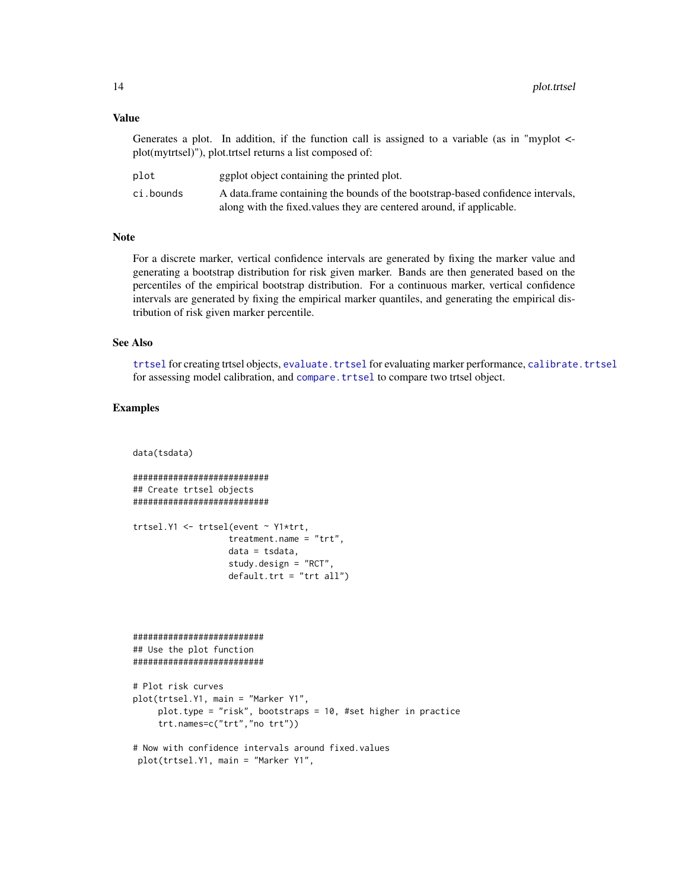#### <span id="page-13-0"></span>Value

Generates a plot. In addition, if the function call is assigned to a variable (as in "myplot <plot(mytrtsel)"), plot.trtsel returns a list composed of:

| plot      | ggplot object containing the printed plot.                                      |
|-----------|---------------------------------------------------------------------------------|
| ci.bounds | A data frame containing the bounds of the bootstrap-based confidence intervals, |
|           | along with the fixed values they are centered around, if applicable.            |

#### Note

For a discrete marker, vertical confidence intervals are generated by fixing the marker value and generating a bootstrap distribution for risk given marker. Bands are then generated based on the percentiles of the empirical bootstrap distribution. For a continuous marker, vertical confidence intervals are generated by fixing the empirical marker quantiles, and generating the empirical distribution of risk given marker percentile.

# See Also

[trtsel](#page-17-1) for creating trtsel objects, [evaluate.trtsel](#page-9-1) for evaluating marker performance, [calibrate.trtsel](#page-2-1) for assessing model calibration, and compare. trtsel to compare two trtsel object.

# Examples

```
data(tsdata)
```
########################### ## Create trtsel objects ###########################

```
trtsel.Y1 <- trtsel(event ~ Y1*trt,
                   treatment.name = "trt",
                   data = tsdata,
                   study.design = "RCT",
                   default.trt = "trt all")
```
##########################

## Use the plot function ##########################

```
# Plot risk curves
plot(trtsel.Y1, main = "Marker Y1",
     plot.type = "risk", bootstraps = 10, #set higher in practice
     trt.names=c("trt","no trt"))
```

```
# Now with confidence intervals around fixed.values
plot(trtsel.Y1, main = "Marker Y1",
```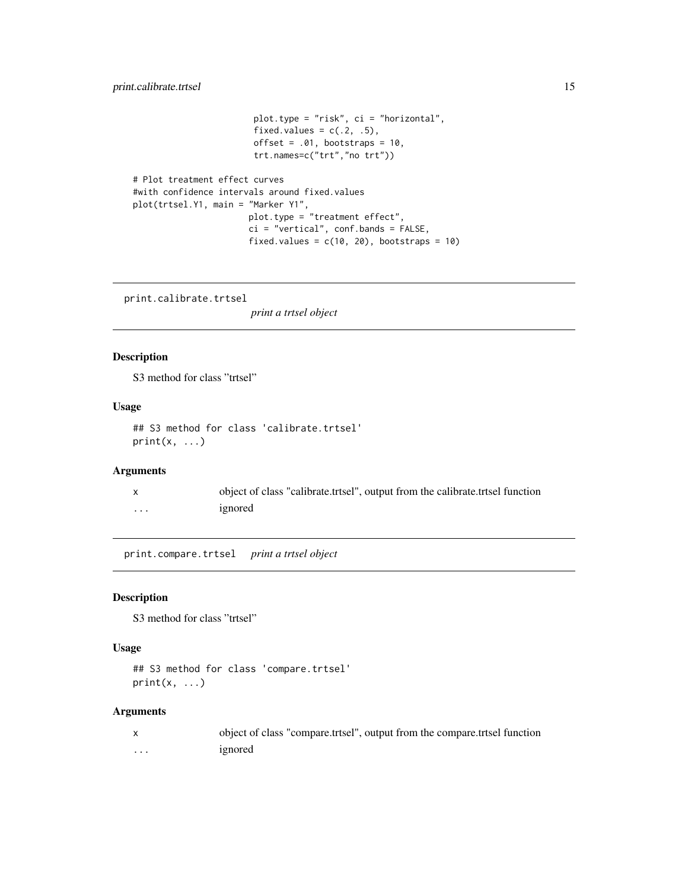# <span id="page-14-0"></span>print.calibrate.trtsel 15

```
plot.type = "risk", ci = "horizontal",
                        fixed.values = c(.2, .5),
                        offset = .01, bootstraps = 10,
                        trt.names=c("trt","no trt"))
# Plot treatment effect curves
#with confidence intervals around fixed.values
plot(trtsel.Y1, main = "Marker Y1",
                      plot.type = "treatment effect",
```

```
ci = "vertical", conf.bands = FALSE,
fixed.values = c(10, 20), bootstraps = 10)
```
print.calibrate.trtsel

*print a trtsel object*

# Description

S3 method for class "trtsel"

# Usage

```
## S3 method for class 'calibrate.trtsel'
print(x, \ldots)
```
# Arguments

|   | object of class "calibrate.trtsel", output from the calibrate.trtsel function |
|---|-------------------------------------------------------------------------------|
| . | ignored                                                                       |

print.compare.trtsel *print a trtsel object*

# Description

S3 method for class "trtsel"

# Usage

```
## S3 method for class 'compare.trtsel'
print(x, \ldots)
```
# Arguments

|   | object of class "compare.trtsel", output from the compare.trtsel function |
|---|---------------------------------------------------------------------------|
| . | ignored                                                                   |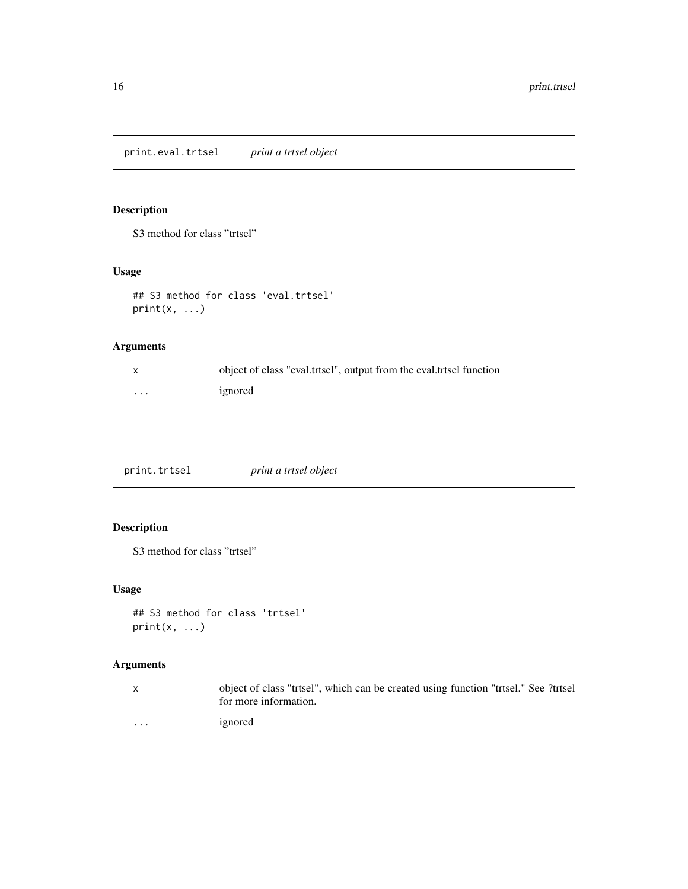# <span id="page-15-0"></span>Description

S3 method for class "trtsel"

# Usage

```
## S3 method for class 'eval.trtsel'
print(x, \ldots)
```
# Arguments

|          | object of class "eval.trtsel", output from the eval.trtsel function |
|----------|---------------------------------------------------------------------|
| $\cdots$ | ignored                                                             |

print.trtsel *print a trtsel object*

# Description

S3 method for class "trtsel"

# Usage

```
## S3 method for class 'trtsel'
print(x, \ldots)
```
# Arguments

x object of class "trtsel", which can be created using function "trtsel." See ?trtsel for more information.

... ignored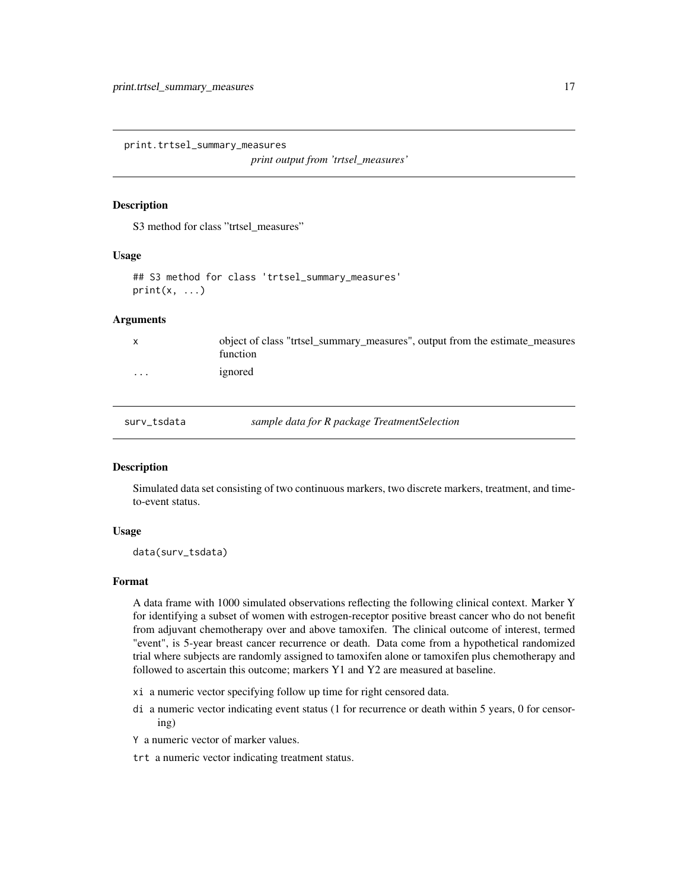<span id="page-16-0"></span>print.trtsel\_summary\_measures

*print output from 'trtsel\_measures'*

# Description

S3 method for class "trtsel\_measures"

# Usage

## S3 method for class 'trtsel\_summary\_measures'  $print(x, \ldots)$ 

# Arguments

|         | object of class "trtsel_summary_measures", output from the estimate_measures<br>function |
|---------|------------------------------------------------------------------------------------------|
| $\cdot$ | ignored                                                                                  |

surv\_tsdata *sample data for R package TreatmentSelection*

#### Description

Simulated data set consisting of two continuous markers, two discrete markers, treatment, and timeto-event status.

# Usage

data(surv\_tsdata)

# Format

A data frame with 1000 simulated observations reflecting the following clinical context. Marker Y for identifying a subset of women with estrogen-receptor positive breast cancer who do not benefit from adjuvant chemotherapy over and above tamoxifen. The clinical outcome of interest, termed "event", is 5-year breast cancer recurrence or death. Data come from a hypothetical randomized trial where subjects are randomly assigned to tamoxifen alone or tamoxifen plus chemotherapy and followed to ascertain this outcome; markers Y1 and Y2 are measured at baseline.

- xi a numeric vector specifying follow up time for right censored data.
- di a numeric vector indicating event status (1 for recurrence or death within 5 years, 0 for censoring)
- Y a numeric vector of marker values.
- trt a numeric vector indicating treatment status.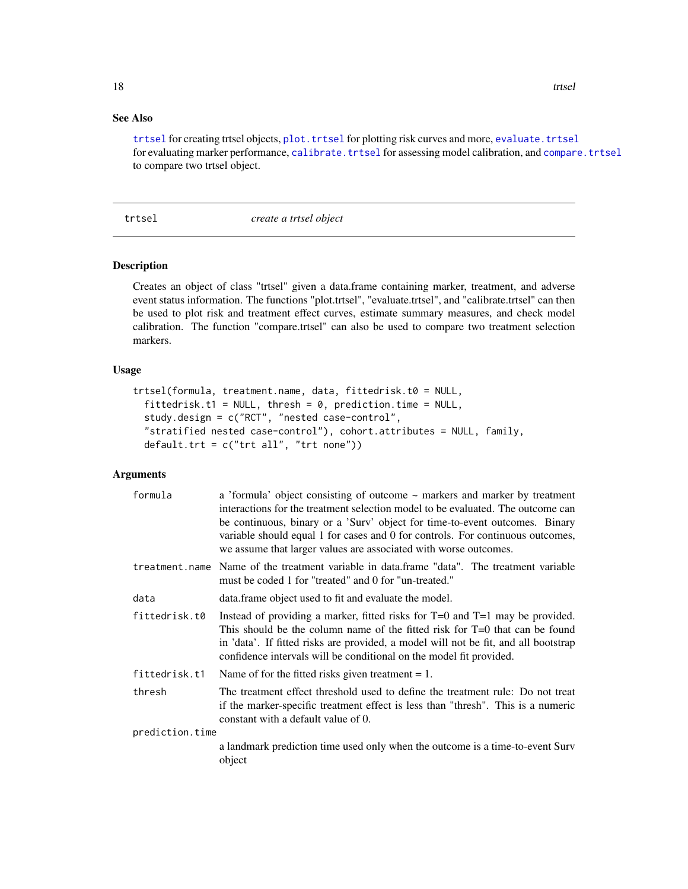# <span id="page-17-0"></span>See Also

[trtsel](#page-17-1) for creating trtsel objects, plot. trtsel for plotting risk curves and more, evaluate. trtsel for evaluating marker performance, [calibrate.trtsel](#page-2-1) for assessing model calibration, and [compare.trtsel](#page-5-1) to compare two trtsel object.

# <span id="page-17-1"></span>trtsel *create a trtsel object*

# Description

Creates an object of class "trtsel" given a data.frame containing marker, treatment, and adverse event status information. The functions "plot.trtsel", "evaluate.trtsel", and "calibrate.trtsel" can then be used to plot risk and treatment effect curves, estimate summary measures, and check model calibration. The function "compare.trtsel" can also be used to compare two treatment selection markers.

# Usage

```
trtsel(formula, treatment.name, data, fittedrisk.t0 = NULL,
  fittedrisk.t1 = NULL, thresh = 0, prediction.time = NULL,
  study.design = c("RCT", "nested case-control",
  "stratified nested case-control"), cohort.attributes = NULL, family,
  default.trt = c("trt all", "trt none"))
```
# Arguments

| formula         | a 'formula' object consisting of outcome $\sim$ markers and marker by treatment<br>interactions for the treatment selection model to be evaluated. The outcome can<br>be continuous, binary or a 'Surv' object for time-to-event outcomes. Binary<br>variable should equal 1 for cases and 0 for controls. For continuous outcomes,<br>we assume that larger values are associated with worse outcomes. |  |
|-----------------|---------------------------------------------------------------------------------------------------------------------------------------------------------------------------------------------------------------------------------------------------------------------------------------------------------------------------------------------------------------------------------------------------------|--|
|                 | treatment name Name of the treatment variable in data frame "data". The treatment variable<br>must be coded 1 for "treated" and 0 for "un-treated."                                                                                                                                                                                                                                                     |  |
| data            | data. frame object used to fit and evaluate the model.                                                                                                                                                                                                                                                                                                                                                  |  |
| fittedrisk.t0   | Instead of providing a marker, fitted risks for $T=0$ and $T=1$ may be provided.<br>This should be the column name of the fitted risk for T=0 that can be found<br>in 'data'. If fitted risks are provided, a model will not be fit, and all bootstrap<br>confidence intervals will be conditional on the model fit provided.                                                                           |  |
| fittedrisk.t1   | Name of for the fitted risks given treatment $= 1$ .                                                                                                                                                                                                                                                                                                                                                    |  |
| thresh          | The treatment effect threshold used to define the treatment rule: Do not treat<br>if the marker-specific treatment effect is less than "thresh". This is a numeric<br>constant with a default value of 0.                                                                                                                                                                                               |  |
| prediction.time |                                                                                                                                                                                                                                                                                                                                                                                                         |  |
|                 | a landmark prediction time used only when the outcome is a time-to-event Surv<br>object                                                                                                                                                                                                                                                                                                                 |  |
|                 |                                                                                                                                                                                                                                                                                                                                                                                                         |  |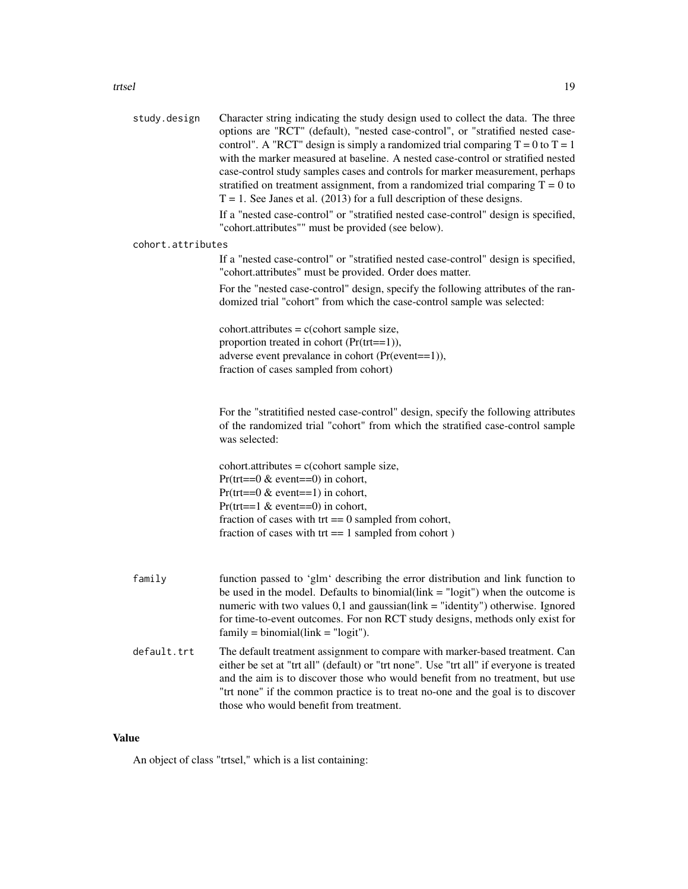| study.design      | Character string indicating the study design used to collect the data. The three<br>options are "RCT" (default), "nested case-control", or "stratified nested case-<br>control". A "RCT" design is simply a randomized trial comparing $T = 0$ to $T = 1$<br>with the marker measured at baseline. A nested case-control or stratified nested<br>case-control study samples cases and controls for marker measurement, perhaps<br>stratified on treatment assignment, from a randomized trial comparing $T = 0$ to<br>$T = 1$ . See Janes et al. (2013) for a full description of these designs.<br>If a "nested case-control" or "stratified nested case-control" design is specified, |
|-------------------|-----------------------------------------------------------------------------------------------------------------------------------------------------------------------------------------------------------------------------------------------------------------------------------------------------------------------------------------------------------------------------------------------------------------------------------------------------------------------------------------------------------------------------------------------------------------------------------------------------------------------------------------------------------------------------------------|
|                   | "cohort.attributes"" must be provided (see below).                                                                                                                                                                                                                                                                                                                                                                                                                                                                                                                                                                                                                                      |
| cohort.attributes | If a "nested case-control" or "stratified nested case-control" design is specified,<br>"cohort.attributes" must be provided. Order does matter.<br>For the "nested case-control" design, specify the following attributes of the ran-                                                                                                                                                                                                                                                                                                                                                                                                                                                   |
|                   | domized trial "cohort" from which the case-control sample was selected:                                                                                                                                                                                                                                                                                                                                                                                                                                                                                                                                                                                                                 |
|                   | $cohort. attributes = c (cohort sample size,$<br>proportion treated in cohort (Pr(trt==1)),<br>adverse event prevalance in cohort (Pr(event==1)),<br>fraction of cases sampled from cohort)                                                                                                                                                                                                                                                                                                                                                                                                                                                                                             |
|                   | For the "stratitified nested case-control" design, specify the following attributes<br>of the randomized trial "cohort" from which the stratified case-control sample<br>was selected:                                                                                                                                                                                                                                                                                                                                                                                                                                                                                                  |
|                   | $cohort. attributes = c (cohort sample size,$<br>$Pr(trt == 0 < event == 0)$ in cohort,                                                                                                                                                                                                                                                                                                                                                                                                                                                                                                                                                                                                 |
|                   | $Pr(trt == 0 & event == 1)$ in cohort,<br>$Pr(trt == 1 & event == 0)$ in cohort,                                                                                                                                                                                                                                                                                                                                                                                                                                                                                                                                                                                                        |
|                   | fraction of cases with $tr = 0$ sampled from cohort,<br>fraction of cases with $tr = 1$ sampled from cohort)                                                                                                                                                                                                                                                                                                                                                                                                                                                                                                                                                                            |
| family            | function passed to 'glm' describing the error distribution and link function to<br>be used in the model. Defaults to binomial( $link = "logit")$ when the outcome is<br>numeric with two values $0,1$ and gaussian(link = "identity") otherwise. Ignored<br>for time-to-event outcomes. For non RCT study designs, methods only exist for<br>$family = binomial(link = "logit").$                                                                                                                                                                                                                                                                                                       |
| default.trt       | The default treatment assignment to compare with marker-based treatment. Can<br>either be set at "trt all" (default) or "trt none". Use "trt all" if everyone is treated<br>and the aim is to discover those who would benefit from no treatment, but use                                                                                                                                                                                                                                                                                                                                                                                                                               |

"trt none" if the common practice is to treat no-one and the goal is to discover

# Value

An object of class "trtsel," which is a list containing:

those who would benefit from treatment.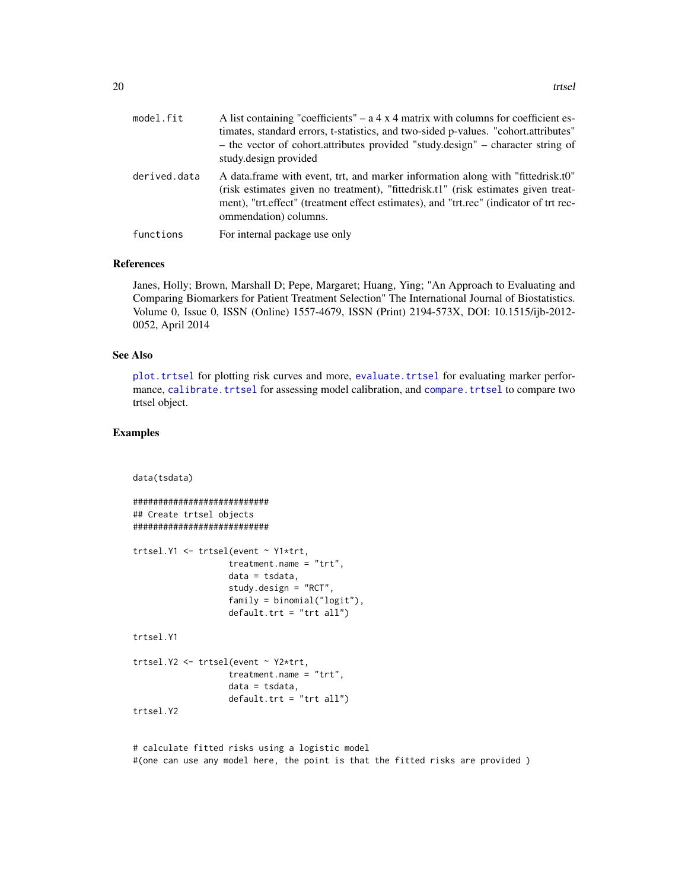<span id="page-19-0"></span>

| model.fit    | A list containing "coefficients" – $a \, 4 \times 4$ matrix with columns for coefficient es-<br>timates, standard errors, t-statistics, and two-sided p-values. "cohort.attributes"<br>- the vector of cohort.attributes provided "study.design" - character string of<br>study.design provided |
|--------------|-------------------------------------------------------------------------------------------------------------------------------------------------------------------------------------------------------------------------------------------------------------------------------------------------|
| derived.data | A data frame with event, trt, and marker information along with "fittedrisk.t0"<br>(risk estimates given no treatment), "fittedrisk.t1" (risk estimates given treat-<br>ment), "trt.effect" (treatment effect estimates), and "trt.rec" (indicator of trt rec-<br>ommendation) columns.         |
| functions    | For internal package use only                                                                                                                                                                                                                                                                   |

# References

Janes, Holly; Brown, Marshall D; Pepe, Margaret; Huang, Ying; "An Approach to Evaluating and Comparing Biomarkers for Patient Treatment Selection" The International Journal of Biostatistics. Volume 0, Issue 0, ISSN (Online) 1557-4679, ISSN (Print) 2194-573X, DOI: 10.1515/ijb-2012- 0052, April 2014

#### See Also

[plot.trtsel](#page-11-1) for plotting risk curves and more, [evaluate.trtsel](#page-9-1) for evaluating marker performance, [calibrate.trtsel](#page-2-1) for assessing model calibration, and [compare.trtsel](#page-5-1) to compare two trtsel object.

# Examples

data(tsdata)

```
###########################
## Create trtsel objects
###########################
trtsel.Y1 <- trtsel(event ~ Y1*trt,
                   treatment.name = "trt",
                  data = tsdata,
                   study.design = "RCT",
                   family = binomial("logit"),
                   default.trt = "trt all")
trtsel.Y1
trtsel.Y2 <- trtsel(event ~ Y2*trt,
                   treatment.name = "trt",
                   data = tsdata,
                   default.trt = "trt all")
trtsel.Y2
```
# calculate fitted risks using a logistic model #(one can use any model here, the point is that the fitted risks are provided )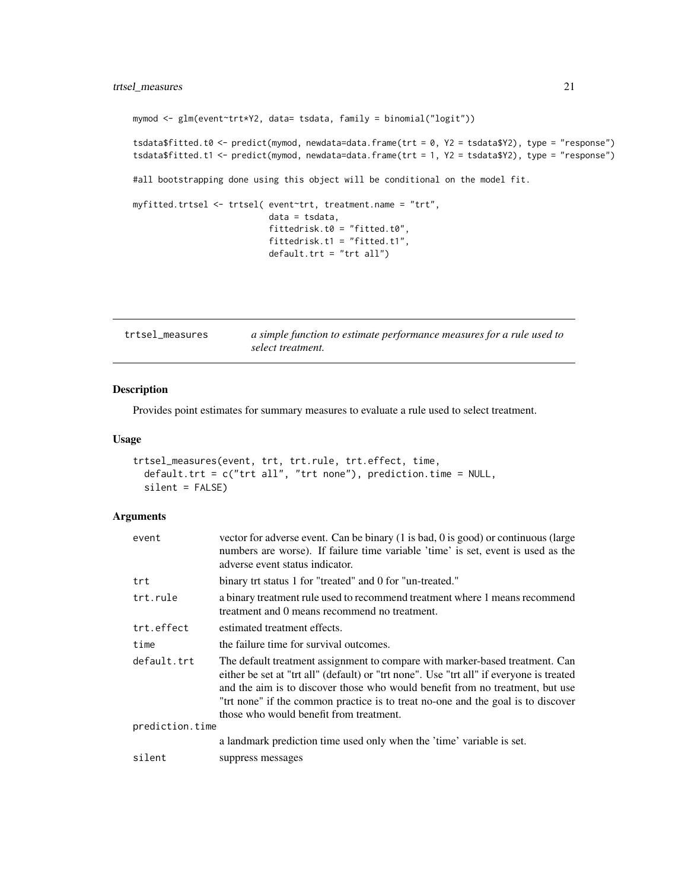# <span id="page-20-0"></span>trtsel\_measures 21

```
mymod <- glm(event~trt*Y2, data= tsdata, family = binomial("logit"))
tsdata$fitted.t0 <- predict(mymod, newdata=data.frame(trt = 0, Y2 = tsdata$Y2), type = "response")
tsdata$fitted.t1 <- predict(mymod, newdata=data.frame(trt = 1, Y2 = tsdata$Y2), type = "response")
#all bootstrapping done using this object will be conditional on the model fit.
myfitted.trtsel <- trtsel( event~trt, treatment.name = "trt",
                           data = tsdata,
                           fittedrisk.t0 = "fitted.t0",
                           fittedrisk.t1 = "fitted.t1",
                           default.trt = "trt all")
```
<span id="page-20-1"></span>

| trtsel measures | a simple function to estimate performance measures for a rule used to |
|-----------------|-----------------------------------------------------------------------|
|                 | select treatment.                                                     |

# Description

Provides point estimates for summary measures to evaluate a rule used to select treatment.

# Usage

```
trtsel_measures(event, trt, trt.rule, trt.effect, time,
  default.trt = c("trt all", "trt none"), prediction.time = NULL,
  silent = FALSE)
```
# Arguments

| event           | vector for adverse event. Can be binary (1 is bad, 0 is good) or continuous (large<br>numbers are worse). If failure time variable 'time' is set, event is used as the<br>adverse event status indicator.                                                                                                                                                                                |  |
|-----------------|------------------------------------------------------------------------------------------------------------------------------------------------------------------------------------------------------------------------------------------------------------------------------------------------------------------------------------------------------------------------------------------|--|
| trt             | binary trt status 1 for "treated" and 0 for "un-treated."                                                                                                                                                                                                                                                                                                                                |  |
| trt.rule        | a binary treatment rule used to recommend treatment where 1 means recommend<br>treatment and 0 means recommend no treatment.                                                                                                                                                                                                                                                             |  |
| trt.effect      | estimated treatment effects.                                                                                                                                                                                                                                                                                                                                                             |  |
| time            | the failure time for survival outcomes.                                                                                                                                                                                                                                                                                                                                                  |  |
| default.trt     | The default treatment assignment to compare with marker-based treatment. Can<br>either be set at "trt all" (default) or "trt none". Use "trt all" if everyone is treated<br>and the aim is to discover those who would benefit from no treatment, but use<br>"trt none" if the common practice is to treat no-one and the goal is to discover<br>those who would benefit from treatment. |  |
| prediction.time |                                                                                                                                                                                                                                                                                                                                                                                          |  |
|                 | a landmark prediction time used only when the 'time' variable is set.                                                                                                                                                                                                                                                                                                                    |  |
| silent          | suppress messages                                                                                                                                                                                                                                                                                                                                                                        |  |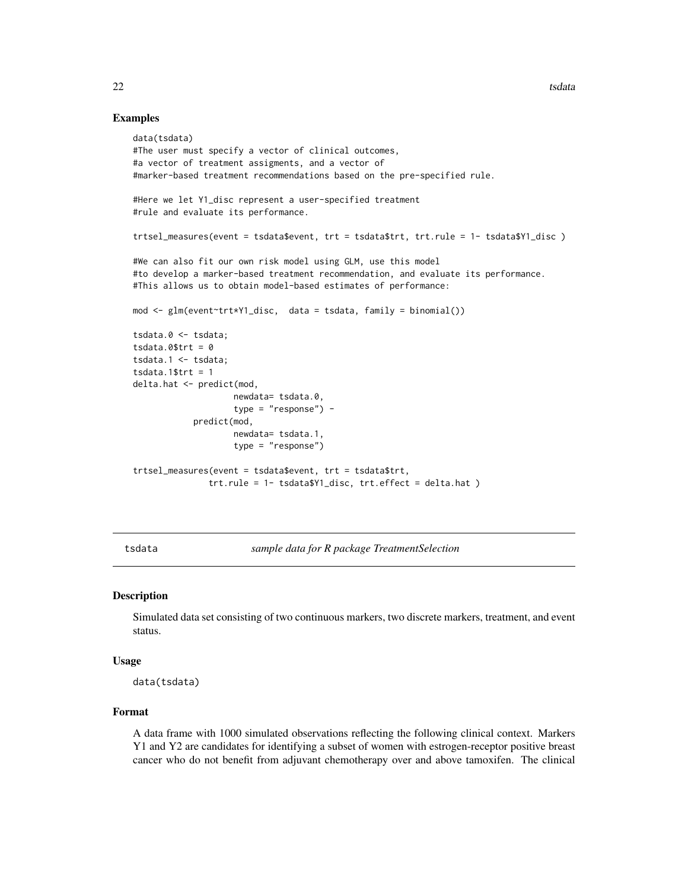# Examples

```
data(tsdata)
#The user must specify a vector of clinical outcomes,
#a vector of treatment assigments, and a vector of
#marker-based treatment recommendations based on the pre-specified rule.
#Here we let Y1_disc represent a user-specified treatment
#rule and evaluate its performance.
trtsel_measures(event = tsdata$event, trt = tsdata$trt, trt.rule = 1- tsdata$Y1_disc )
#We can also fit our own risk model using GLM, use this model
#to develop a marker-based treatment recommendation, and evaluate its performance.
#This allows us to obtain model-based estimates of performance:
mod <- glm(event~trt*Y1_disc, data = tsdata, family = binomial())
tsdata.0 <- tsdata;
tsdata.0$trt = 0tsdata.1 <- tsdata;
tsdata.1$trt = 1delta.hat <- predict(mod,
                    newdata= tsdata.0,
                    type = "response") -
            predict(mod,
                    newdata= tsdata.1,
                    type = "response")
trtsel_measures(event = tsdata$event, trt = tsdata$trt,
               trt.rule = 1- tsdata$Y1_disc, trt.effect = delta.hat )
```
tsdata *sample data for R package TreatmentSelection*

# Description

Simulated data set consisting of two continuous markers, two discrete markers, treatment, and event status.

#### Usage

data(tsdata)

# Format

A data frame with 1000 simulated observations reflecting the following clinical context. Markers Y1 and Y2 are candidates for identifying a subset of women with estrogen-receptor positive breast cancer who do not benefit from adjuvant chemotherapy over and above tamoxifen. The clinical

<span id="page-21-0"></span>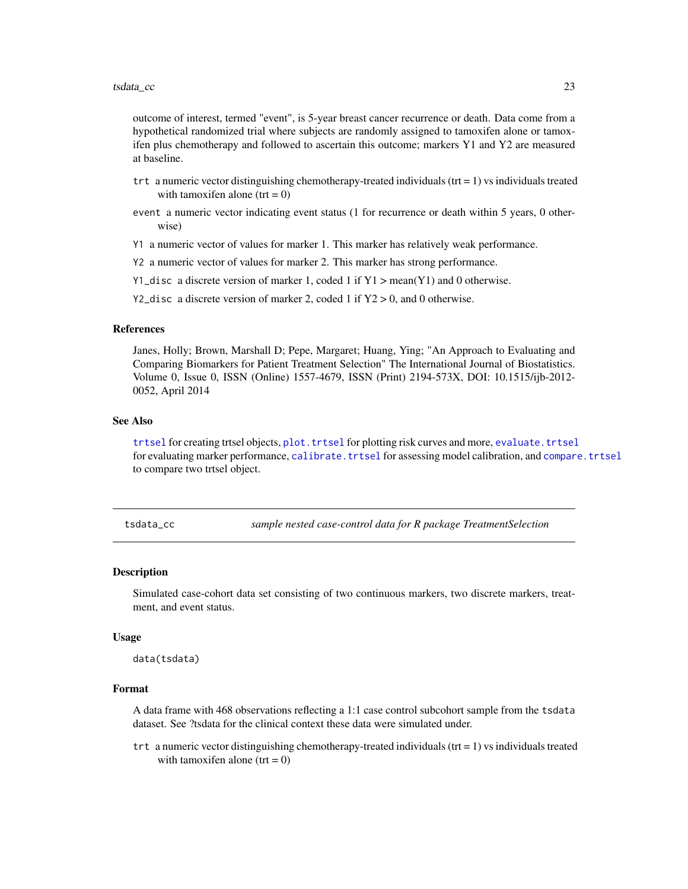<span id="page-22-0"></span>outcome of interest, termed "event", is 5-year breast cancer recurrence or death. Data come from a hypothetical randomized trial where subjects are randomly assigned to tamoxifen alone or tamoxifen plus chemotherapy and followed to ascertain this outcome; markers Y1 and Y2 are measured at baseline.

- trt a numeric vector distinguishing chemotherapy-treated individuals ( $tr = 1$ ) vs individuals treated with tamoxifen alone ( $trt = 0$ )
- event a numeric vector indicating event status (1 for recurrence or death within 5 years, 0 otherwise)
- Y1 a numeric vector of values for marker 1. This marker has relatively weak performance.
- Y2 a numeric vector of values for marker 2. This marker has strong performance.
- Y1\_disc a discrete version of marker 1, coded 1 if  $Y1 > mean(Y1)$  and 0 otherwise.
- Y2\_disc a discrete version of marker 2, coded 1 if  $Y2 > 0$ , and 0 otherwise.

### References

Janes, Holly; Brown, Marshall D; Pepe, Margaret; Huang, Ying; "An Approach to Evaluating and Comparing Biomarkers for Patient Treatment Selection" The International Journal of Biostatistics. Volume 0, Issue 0, ISSN (Online) 1557-4679, ISSN (Print) 2194-573X, DOI: 10.1515/ijb-2012- 0052, April 2014

#### See Also

[trtsel](#page-17-1) for creating trtsel objects, plot. trtsel for plotting risk curves and more, evaluate. trtsel for evaluating marker performance, [calibrate.trtsel](#page-2-1) for assessing model calibration, and [compare.trtsel](#page-5-1) to compare two trtsel object.

tsdata\_cc *sample nested case-control data for R package TreatmentSelection*

# Description

Simulated case-cohort data set consisting of two continuous markers, two discrete markers, treatment, and event status.

#### Usage

data(tsdata)

# Format

A data frame with 468 observations reflecting a 1:1 case control subcohort sample from the tsdata dataset. See ?tsdata for the clinical context these data were simulated under.

trt a numeric vector distinguishing chemotherapy-treated individuals ( $tr = 1$ ) vs individuals treated with tamoxifen alone ( $trt = 0$ )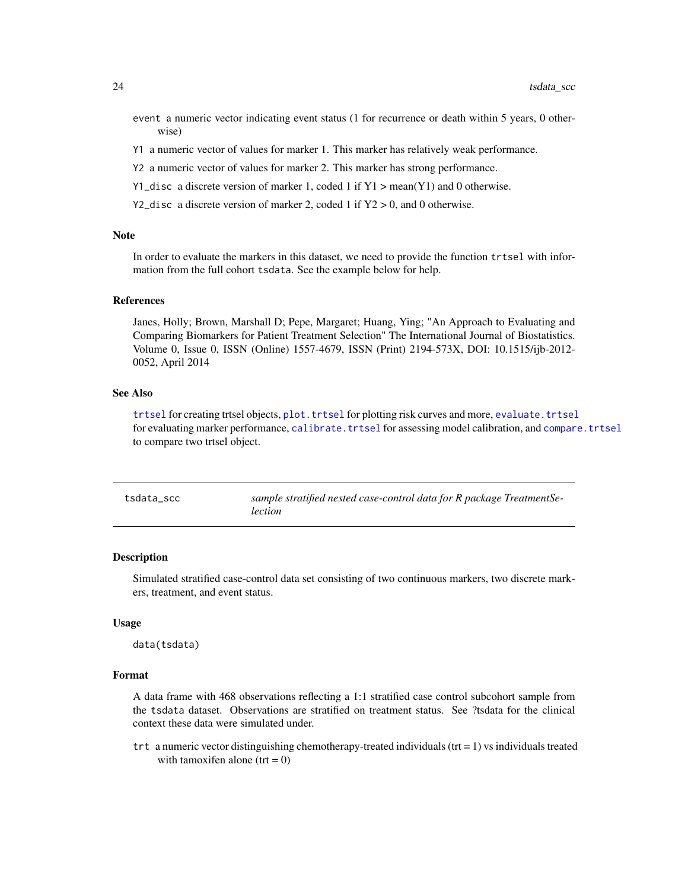- <span id="page-23-0"></span>event a numeric vector indicating event status (1 for recurrence or death within 5 years, 0 otherwise)
- Y1 a numeric vector of values for marker 1. This marker has relatively weak performance.
- Y2 a numeric vector of values for marker 2. This marker has strong performance.
- Y1\_disc a discrete version of marker 1, coded 1 if  $Y1 > mean(Y1)$  and 0 otherwise.
- Y2\_disc a discrete version of marker 2, coded 1 if  $Y2 > 0$ , and 0 otherwise.

# Note

In order to evaluate the markers in this dataset, we need to provide the function trtsel with information from the full cohort tsdata. See the example below for help.

### References

Janes, Holly; Brown, Marshall D; Pepe, Margaret; Huang, Ying; "An Approach to Evaluating and Comparing Biomarkers for Patient Treatment Selection" The International Journal of Biostatistics. Volume 0, Issue 0, ISSN (Online) 1557-4679, ISSN (Print) 2194-573X, DOI: 10.1515/ijb-2012- 0052, April 2014

# See Also

[trtsel](#page-17-1) for creating trtsel objects, plot. trtsel for plotting risk curves and more, evaluate. trtsel for evaluating marker performance, [calibrate.trtsel](#page-2-1) for assessing model calibration, and [compare.trtsel](#page-5-1) to compare two trtsel object.

| tsdata scc | sample stratified nested case-control data for R package TreatmentSe- |
|------------|-----------------------------------------------------------------------|
|            | lection                                                               |

#### Description

Simulated stratified case-control data set consisting of two continuous markers, two discrete markers, treatment, and event status.

#### Usage

data(tsdata)

#### Format

A data frame with 468 observations reflecting a 1:1 stratified case control subcohort sample from the tsdata dataset. Observations are stratified on treatment status. See ?tsdata for the clinical context these data were simulated under.

trt a numeric vector distinguishing chemotherapy-treated individuals ( $tr = 1$ ) vs individuals treated with tamoxifen alone ( $trt = 0$ )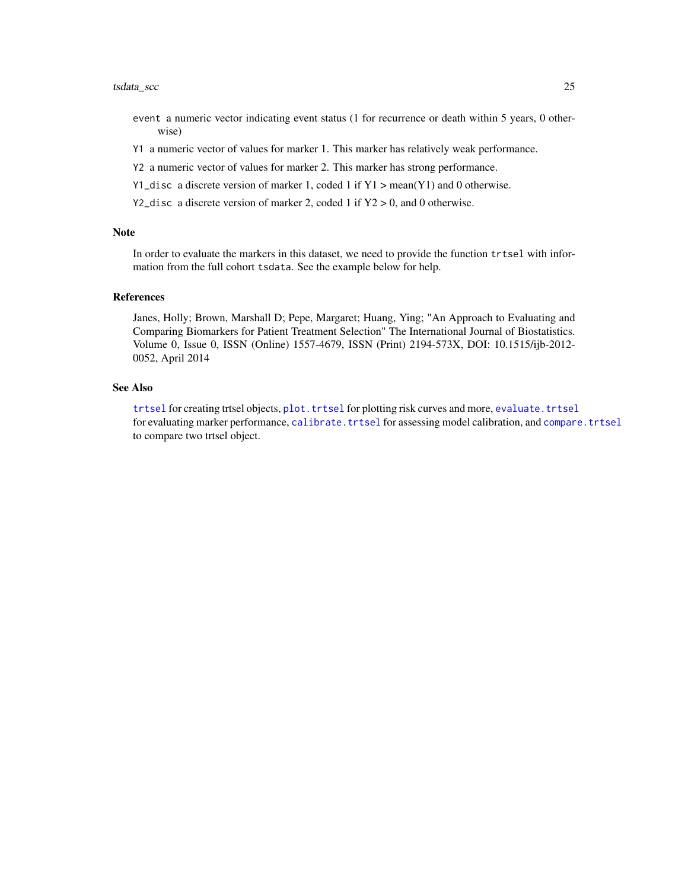#### <span id="page-24-0"></span>tsdata\_scc 25

- event a numeric vector indicating event status (1 for recurrence or death within 5 years, 0 otherwise)
- Y1 a numeric vector of values for marker 1. This marker has relatively weak performance.
- Y2 a numeric vector of values for marker 2. This marker has strong performance.
- Y1\_disc a discrete version of marker 1, coded 1 if  $Y1 > mean(Y1)$  and 0 otherwise.
- Y2\_disc a discrete version of marker 2, coded 1 if  $Y2 > 0$ , and 0 otherwise.

#### Note

In order to evaluate the markers in this dataset, we need to provide the function trtsel with information from the full cohort tsdata. See the example below for help.

# References

Janes, Holly; Brown, Marshall D; Pepe, Margaret; Huang, Ying; "An Approach to Evaluating and Comparing Biomarkers for Patient Treatment Selection" The International Journal of Biostatistics. Volume 0, Issue 0, ISSN (Online) 1557-4679, ISSN (Print) 2194-573X, DOI: 10.1515/ijb-2012- 0052, April 2014

# See Also

[trtsel](#page-17-1) for creating trtsel objects, plot. trtsel for plotting risk curves and more, evaluate. trtsel for evaluating marker performance, [calibrate.trtsel](#page-2-1) for assessing model calibration, and [compare.trtsel](#page-5-1) to compare two trtsel object.